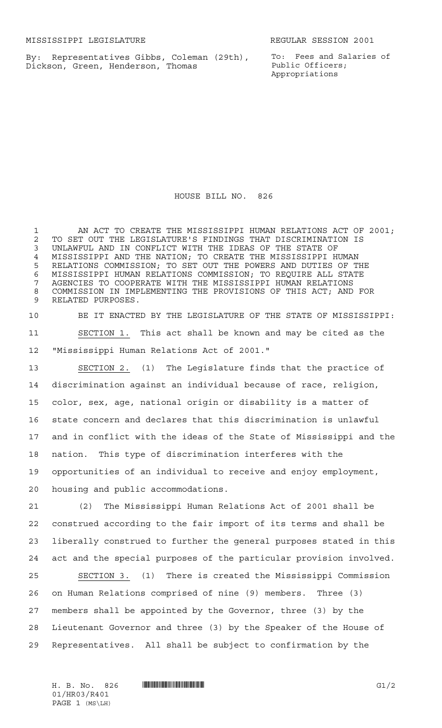By: Representatives Gibbs, Coleman (29th), Dickson, Green, Henderson, Thomas

To: Fees and Salaries of Public Officers; Appropriations

HOUSE BILL NO. 826

1 AN ACT TO CREATE THE MISSISSIPPI HUMAN RELATIONS ACT OF 2001; 2 TO SET OUT THE LEGISLATURE'S FINDINGS THAT DISCRIMINATION IS<br>3 UNLAWFUL AND IN CONFLICT WITH THE IDEAS OF THE STATE OF UNLAWFUL AND IN CONFLICT WITH THE IDEAS OF THE STATE OF 4 MISSISSIPPI AND THE NATION; TO CREATE THE MISSISSIPPI HUMAN<br>5 RELATIONS COMMISSION; TO SET OUT THE POWERS AND DUTIES OF TI RELATIONS COMMISSION; TO SET OUT THE POWERS AND DUTIES OF THE MISSISSIPPI HUMAN RELATIONS COMMISSION; TO REQUIRE ALL STATE AGENCIES TO COOPERATE WITH THE MISSISSIPPI HUMAN RELATIONS COMMISSION IN IMPLEMENTING THE PROVISIONS OF THIS ACT; AND FOR RELATED PURPOSES.

 BE IT ENACTED BY THE LEGISLATURE OF THE STATE OF MISSISSIPPI: SECTION 1. This act shall be known and may be cited as the "Mississippi Human Relations Act of 2001."

 SECTION 2. (1) The Legislature finds that the practice of discrimination against an individual because of race, religion, color, sex, age, national origin or disability is a matter of state concern and declares that this discrimination is unlawful and in conflict with the ideas of the State of Mississippi and the nation. This type of discrimination interferes with the opportunities of an individual to receive and enjoy employment, housing and public accommodations.

 (2) The Mississippi Human Relations Act of 2001 shall be construed according to the fair import of its terms and shall be liberally construed to further the general purposes stated in this act and the special purposes of the particular provision involved. SECTION 3. (1) There is created the Mississippi Commission

 on Human Relations comprised of nine (9) members. Three (3) members shall be appointed by the Governor, three (3) by the Lieutenant Governor and three (3) by the Speaker of the House of Representatives. All shall be subject to confirmation by the

H. B. No. 826 \*HR03/R401\* G1/2 01/HR03/R401 PAGE 1 (MS\LH)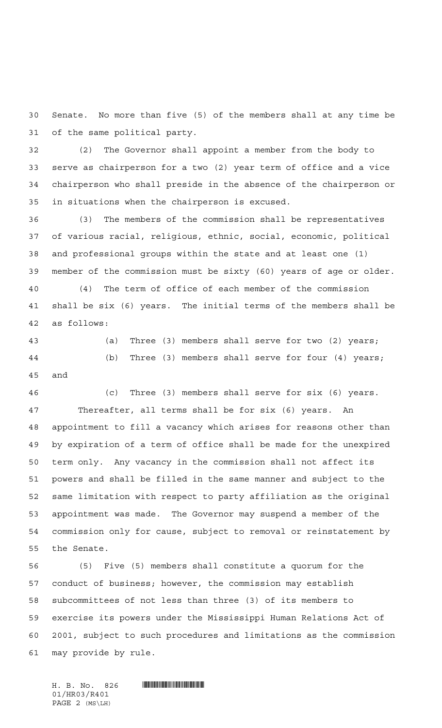Senate. No more than five (5) of the members shall at any time be of the same political party.

 (2) The Governor shall appoint a member from the body to serve as chairperson for a two (2) year term of office and a vice chairperson who shall preside in the absence of the chairperson or in situations when the chairperson is excused.

 (3) The members of the commission shall be representatives of various racial, religious, ethnic, social, economic, political and professional groups within the state and at least one (1) member of the commission must be sixty (60) years of age or older.

 (4) The term of office of each member of the commission shall be six (6) years. The initial terms of the members shall be as follows:

 (a) Three (3) members shall serve for two (2) years; (b) Three (3) members shall serve for four (4) years; and

 (c) Three (3) members shall serve for six (6) years. Thereafter, all terms shall be for six (6) years. An appointment to fill a vacancy which arises for reasons other than by expiration of a term of office shall be made for the unexpired term only. Any vacancy in the commission shall not affect its powers and shall be filled in the same manner and subject to the same limitation with respect to party affiliation as the original appointment was made. The Governor may suspend a member of the commission only for cause, subject to removal or reinstatement by the Senate.

 (5) Five (5) members shall constitute a quorum for the conduct of business; however, the commission may establish subcommittees of not less than three (3) of its members to exercise its powers under the Mississippi Human Relations Act of 2001, subject to such procedures and limitations as the commission may provide by rule.

01/HR03/R401 PAGE 2 (MS\LH)

 $H. B. No. 826$  .  $H. H. B. N. 826$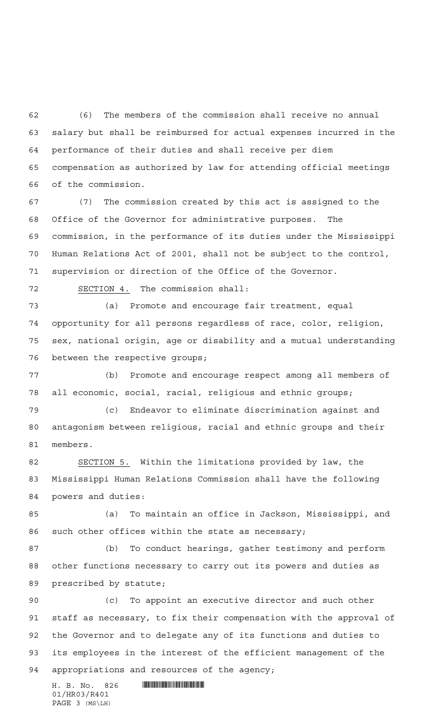(6) The members of the commission shall receive no annual salary but shall be reimbursed for actual expenses incurred in the performance of their duties and shall receive per diem compensation as authorized by law for attending official meetings of the commission.

 (7) The commission created by this act is assigned to the Office of the Governor for administrative purposes. The commission, in the performance of its duties under the Mississippi Human Relations Act of 2001, shall not be subject to the control, supervision or direction of the Office of the Governor.

SECTION 4. The commission shall:

 (a) Promote and encourage fair treatment, equal opportunity for all persons regardless of race, color, religion, sex, national origin, age or disability and a mutual understanding between the respective groups;

 (b) Promote and encourage respect among all members of all economic, social, racial, religious and ethnic groups;

 (c) Endeavor to eliminate discrimination against and antagonism between religious, racial and ethnic groups and their members.

 SECTION 5. Within the limitations provided by law, the Mississippi Human Relations Commission shall have the following powers and duties:

 (a) To maintain an office in Jackson, Mississippi, and such other offices within the state as necessary;

 (b) To conduct hearings, gather testimony and perform other functions necessary to carry out its powers and duties as prescribed by statute;

 (c) To appoint an executive director and such other staff as necessary, to fix their compensation with the approval of the Governor and to delegate any of its functions and duties to its employees in the interest of the efficient management of the appropriations and resources of the agency;

01/HR03/R401 PAGE 3 (MS\LH)

H. B. No. 826 \*HR03/R401\*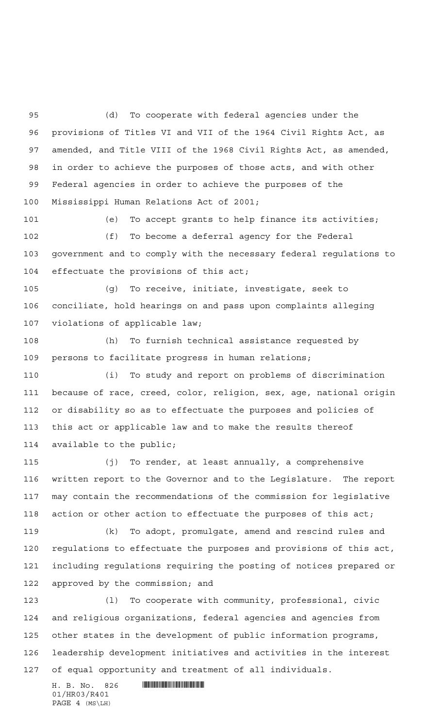(d) To cooperate with federal agencies under the provisions of Titles VI and VII of the 1964 Civil Rights Act, as amended, and Title VIII of the 1968 Civil Rights Act, as amended, in order to achieve the purposes of those acts, and with other Federal agencies in order to achieve the purposes of the Mississippi Human Relations Act of 2001;

 (e) To accept grants to help finance its activities; (f) To become a deferral agency for the Federal government and to comply with the necessary federal regulations to 104 effectuate the provisions of this act;

 (g) To receive, initiate, investigate, seek to conciliate, hold hearings on and pass upon complaints alleging violations of applicable law;

 (h) To furnish technical assistance requested by persons to facilitate progress in human relations;

 (i) To study and report on problems of discrimination because of race, creed, color, religion, sex, age, national origin or disability so as to effectuate the purposes and policies of this act or applicable law and to make the results thereof available to the public;

 (j) To render, at least annually, a comprehensive written report to the Governor and to the Legislature. The report may contain the recommendations of the commission for legislative action or other action to effectuate the purposes of this act;

 (k) To adopt, promulgate, amend and rescind rules and regulations to effectuate the purposes and provisions of this act, including regulations requiring the posting of notices prepared or approved by the commission; and

 (l) To cooperate with community, professional, civic and religious organizations, federal agencies and agencies from other states in the development of public information programs, leadership development initiatives and activities in the interest of equal opportunity and treatment of all individuals.

H. B. No. 826 \*HR03/R401\* 01/HR03/R401 PAGE 4 (MS\LH)